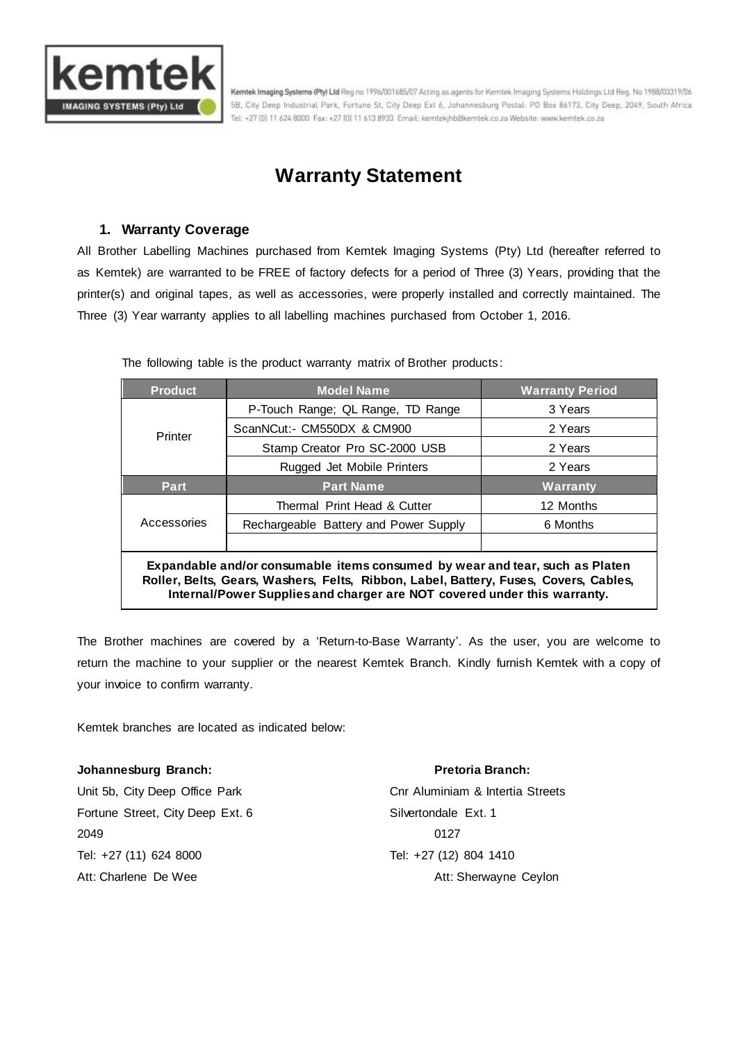

Kemtek Imaging Systems (Pty) Ltd Reg no 1996/001685/07 Acting as agents for Kemtek Imaging Systems Holdings Ltd Reg. No 1988/03319/06 5B, City Deep Industrial Park, Fortune St, City Deep Ext 6, Johannesburg Postal: PO Box 86173, City Deep, 2049, South Africa Tel: +27 (0) 11 624 8000 Fax: +27 [0] 11 613 8933 Email: kemtekjhbûkemtek.co.za Website: www.kemtek.co.za

# **Warranty Statement**

# **1. Warranty Coverage**

All Brother Labelling Machines purchased from Kemtek Imaging Systems (Pty) Ltd (hereafter referred to as Kemtek) are warranted to be FREE of factory defects for a period of Three (3) Years, providing that the printer(s) and original tapes, as well as accessories, were properly installed and correctly maintained. The Three (3) Year warranty applies to all labelling machines purchased from October 1, 2016.

The following table is the product warranty matrix of Brother products:

| <b>Product</b>                                                                                                                                                                                                                                   | <b>Model Name</b>                     | <b>Warranty Period</b> |
|--------------------------------------------------------------------------------------------------------------------------------------------------------------------------------------------------------------------------------------------------|---------------------------------------|------------------------|
| Printer                                                                                                                                                                                                                                          | P-Touch Range; QL Range, TD Range     | 3 Years                |
|                                                                                                                                                                                                                                                  | ScanNCut:- CM550DX & CM900            | 2 Years                |
|                                                                                                                                                                                                                                                  | Stamp Creator Pro SC-2000 USB         | 2 Years                |
|                                                                                                                                                                                                                                                  | Rugged Jet Mobile Printers            | 2 Years                |
| Part.                                                                                                                                                                                                                                            | <b>Part Name</b>                      | Warranty               |
| Accessories                                                                                                                                                                                                                                      | Thermal Print Head & Cutter           | 12 Months              |
|                                                                                                                                                                                                                                                  | Rechargeable Battery and Power Supply | 6 Months               |
|                                                                                                                                                                                                                                                  |                                       |                        |
| Expandable and/or consumable items consumed by wear and tear, such as Platen<br>Roller, Belts, Gears, Washers, Felts, Ribbon, Label, Battery, Fuses, Covers, Cables,<br>Internal/Power Supplies and charger are NOT covered under this warranty. |                                       |                        |

The Brother machines are covered by a 'Return-to-Base Warranty'. As the user, you are welcome to return the machine to your supplier or the nearest Kemtek Branch. Kindly furnish Kemtek with a copy of your invoice to confirm warranty.

Kemtek branches are located as indicated below:

## **Johannesburg Branch: Pretoria Branch:**

Fortune Street, City Deep Ext. 6 Silvertondale Ext. 1 2049 0127 Tel: +27 (11) 624 8000 Tel: +27 (12) 804 1410

Unit 5b, City Deep Office Park Cnr Aluminiam & Intertia Streets Att: Charlene De Wee Att: Sherwayne Ceylon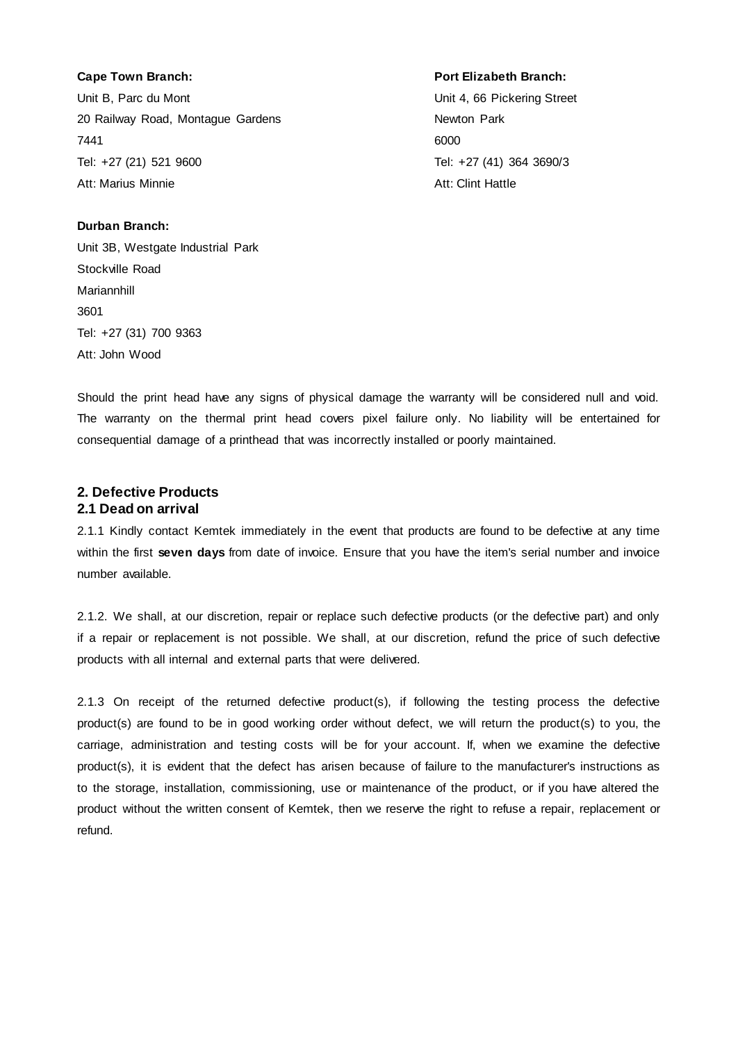Unit B, Parc du Mont **Unit 4, 66 Pickering Street** 20 Railway Road, Montague Gardens Newton Park 7441 6000 Tel: +27 (21) 521 9600 Tel: +27 (41) 364 3690/3 Att: Marius Minnie **Atties Atties Atties Atties Atties Atties** Atties Atties Atties Atties Atties Atties Atties

#### **Cape Town Branch: Port Elizabeth Branch:**

# **Durban Branch:**

Unit 3B, Westgate Industrial Park Stockville Road Mariannhill 3601 Tel: +27 (31) 700 9363 Att: John Wood

Should the print head have any signs of physical damage the warranty will be considered null and void. The warranty on the thermal print head covers pixel failure only. No liability will be entertained for consequential damage of a printhead that was incorrectly installed or poorly maintained.

# **2. Defective Products 2.1 Dead on arrival**

2.1.1 Kindly contact Kemtek immediately in the event that products are found to be defective at any time within the first **seven days** from date of invoice. Ensure that you have the item's serial number and invoice number available.

2.1.2. We shall, at our discretion, repair or replace such defective products (or the defective part) and only if a repair or replacement is not possible. We shall, at our discretion, refund the price of such defective products with all internal and external parts that were delivered.

2.1.3 On receipt of the returned defective product(s), if following the testing process the defective product(s) are found to be in good working order without defect, we will return the product(s) to you, the carriage, administration and testing costs will be for your account. If, when we examine the defective product(s), it is evident that the defect has arisen because of failure to the manufacturer's instructions as to the storage, installation, commissioning, use or maintenance of the product, or if you have altered the product without the written consent of Kemtek, then we reserve the right to refuse a repair, replacement or refund.